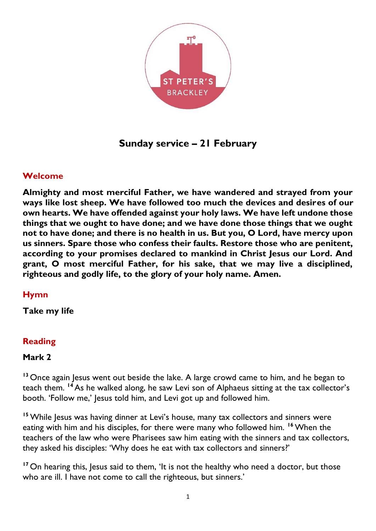

# **Sunday service – 21 February**

## **Welcome**

**Almighty and most merciful Father, we have wandered and strayed from your ways like lost sheep. We have followed too much the devices and desires of our own hearts. We have offended against your holy laws. We have left undone those things that we ought to have done; and we have done those things that we ought not to have done; and there is no health in us. But you, O Lord, have mercy upon us sinners. Spare those who confess their faults. Restore those who are penitent, according to your promises declared to mankind in Christ Jesus our Lord. And grant, O most merciful Father, for his sake, that we may live a disciplined, righteous and godly life, to the glory of your holy name. Amen.**

## **Hymn**

**Take my life**

## **Reading**

### **Mark 2**

**<sup>13</sup>** Once again Jesus went out beside the lake. A large crowd came to him, and he began to teach them. **<sup>14</sup>** As he walked along, he saw Levi son of Alphaeus sitting at the tax collector's booth. 'Follow me,' Jesus told him, and Levi got up and followed him.

<sup>15</sup> While Jesus was having dinner at Levi's house, many tax collectors and sinners were eating with him and his disciples, for there were many who followed him. **<sup>16</sup>**When the teachers of the law who were Pharisees saw him eating with the sinners and tax collectors, they asked his disciples: 'Why does he eat with tax collectors and sinners?'

<sup>17</sup> On hearing this, Jesus said to them, 'It is not the healthy who need a doctor, but those who are ill. I have not come to call the righteous, but sinners.'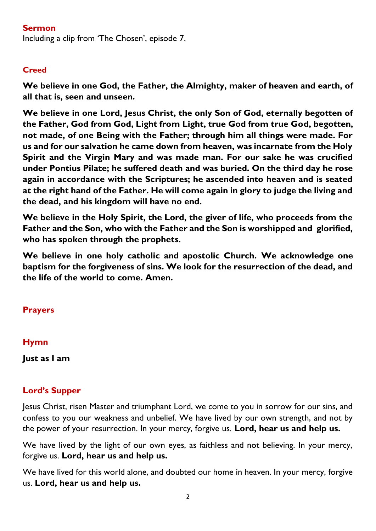#### **Sermon**

Including a clip from 'The Chosen', episode 7.

#### **Creed**

**We believe in one God, the Father, the Almighty, maker of heaven and earth, of all that is, seen and unseen.** 

**We believe in one Lord, Jesus Christ, the only Son of God, eternally begotten of the Father, God from God, Light from Light, true God from true God, begotten, not made, of one Being with the Father; through him all things were made. For us and for our salvation he came down from heaven, was incarnate from the Holy Spirit and the Virgin Mary and was made man. For our sake he was crucified under Pontius Pilate; he suffered death and was buried. On the third day he rose again in accordance with the Scriptures; he ascended into heaven and is seated at the right hand of the Father. He will come again in glory to judge the living and the dead, and his kingdom will have no end.**

**We believe in the Holy Spirit, the Lord, the giver of life, who proceeds from the Father and the Son, who with the Father and the Son is worshipped and glorified, who has spoken through the prophets.** 

**We believe in one holy catholic and apostolic Church. We acknowledge one baptism for the forgiveness of sins. We look for the resurrection of the dead, and the life of the world to come. Amen.**

### **Prayers**

#### **Hymn**

**Just as I am**

#### **Lord's Supper**

Jesus Christ, risen Master and triumphant Lord, we come to you in sorrow for our sins, and confess to you our weakness and unbelief. We have lived by our own strength, and not by the power of your resurrection. In your mercy, forgive us. **Lord, hear us and help us.**

We have lived by the light of our own eyes, as faithless and not believing. In your mercy, forgive us. **Lord, hear us and help us.**

We have lived for this world alone, and doubted our home in heaven. In your mercy, forgive us. **Lord, hear us and help us.**